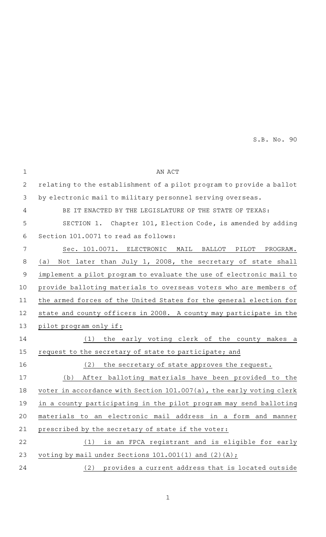S.B. No. 90

| $\mathbf 1$ | AN ACT                                                               |
|-------------|----------------------------------------------------------------------|
| 2           | relating to the establishment of a pilot program to provide a ballot |
| 3           | by electronic mail to military personnel serving overseas.           |
| 4           | BE IT ENACTED BY THE LEGISLATURE OF THE STATE OF TEXAS:              |
| 5           | SECTION 1. Chapter 101, Election Code, is amended by adding          |
| 6           | Section 101.0071 to read as follows:                                 |
| 7           | Sec. 101.0071. ELECTRONIC<br>PROGRAM.<br>MAIL<br>BALLOT<br>PILOT     |
| 8           | Not later than July 1, 2008, the secretary of state shall<br>(a)     |
| $\mathsf 9$ | implement a pilot program to evaluate the use of electronic mail to  |
| 10          | provide balloting materials to overseas voters who are members of    |
| 11          | the armed forces of the United States for the general election for   |
| 12          | state and county officers in 2008. A county may participate in the   |
| 13          | pilot program only if:                                               |
| 14          | the early voting clerk of the county makes a<br>(1)                  |
| 15          | request to the secretary of state to participate; and                |
| 16          | (2)<br>the secretary of state approves the request.                  |
| 17          | After balloting materials have been provided to the<br>(b)           |
| 18          | voter in accordance with Section 101.007(a), the early voting clerk  |
| 19          | in a county participating in the pilot program may send balloting    |
| 20          | materials to an electronic mail address in a form and manner         |
| 21          | prescribed by the secretary of state if the voter:                   |
| 22          | is an FPCA registrant and is eligible for early<br>(1)               |
| 23          | voting by mail under Sections $101.001(1)$ and $(2)(A)$ ;            |
| 24          | (2) provides a current address that is located outside               |
|             |                                                                      |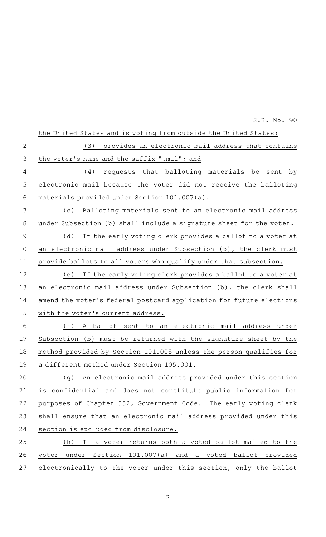| $\mathbf 1$    | the United States and is voting from outside the United States;     |
|----------------|---------------------------------------------------------------------|
| $\overline{2}$ | provides an electronic mail address that contains<br>(3)            |
| 3              | the voter's name and the suffix ".mil"; and                         |
| $\overline{4}$ | (4)<br>requests that balloting materials be<br>sent<br>by           |
| 5              | electronic mail because the voter did not receive the balloting     |
| 6              | materials provided under Section 101.007(a).                        |
| 7              | Balloting materials sent to an electronic mail address<br>(c)       |
| 8              | under Subsection (b) shall include a signature sheet for the voter. |
| $\overline{9}$ | (d)<br>If the early voting clerk provides a ballot to a voter at    |
| 10             | an electronic mail address under Subsection (b), the clerk must     |
| 11             | provide ballots to all voters who qualify under that subsection.    |
| 12             | If the early voting clerk provides a ballot to a voter at<br>(e)    |
| 13             | an electronic mail address under Subsection (b), the clerk shall    |
| 14             | amend the voter's federal postcard application for future elections |
| 15             | with the voter's current address.                                   |
| 16             | (f)<br>electronic mail address under<br>A ballot sent to<br>an      |
| 17             | Subsection (b) must be returned with the signature sheet by the     |
| 18             | method provided by Section 101.008 unless the person qualifies for  |
| 19             | a different method under Section 105.001.                           |
| 20             | An electronic mail address provided under this section<br>( g )     |
| 21             | is confidential and does not constitute public information for      |
| 22             | purposes of Chapter 552, Government Code. The early voting clerk    |
| 23             | shall ensure that an electronic mail address provided under this    |
| 24             | section is excluded from disclosure.                                |
| 25             | If a voter returns both a voted ballot mailed to the<br>(h)         |
| 26             | under Section 101.007(a) and a voted ballot provided<br>voter       |
| 27             | electronically to the voter under this section, only the ballot     |

S.B. No. 90

2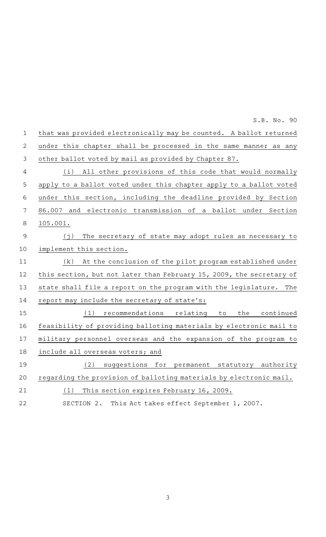|                | S.B. No. 90                                                           |
|----------------|-----------------------------------------------------------------------|
| $\mathbf{1}$   | that was provided electronically may be counted. A ballot returned    |
| $\overline{2}$ | under this chapter shall be processed in the same manner as any       |
| $\mathfrak{Z}$ | other ballot voted by mail as provided by Chapter 87.                 |
| 4              | (i) All other provisions of this code that would normally             |
| 5              | apply to a ballot voted under this chapter apply to a ballot voted    |
| $\,$ 6 $\,$    | under this section, including the deadline provided by Section        |
| $\overline{7}$ | 86.007 and electronic transmission of a ballot under Section          |
| $\,8\,$        | 105.001.                                                              |
| $\mathsf 9$    | The secretary of state may adopt rules as necessary to<br>(j)         |
| 10             | implement this section.                                               |
| 11             | At the conclusion of the pilot program established under<br>(k)       |
| 12             | this section, but not later than February 15, 2009, the secretary of  |
| 13             | state shall file a report on the program with the legislature.<br>The |
| 14             | report may include the secretary of state's:                          |
| 15             | recommendations relating to<br>(1)<br>the continued                   |
| 16             | feasibility of providing balloting materials by electronic mail to    |
| 17             | military personnel overseas and the expansion of the program to       |
| 18             | include all overseas voters; and                                      |
| 19             | (2)<br>suggestions for permanent statutory authority                  |
| 20             | regarding the provision of balloting materials by electronic mail.    |
| 21             | This section expires February 16, 2009.<br>(1)                        |
| 22             | This Act takes effect September 1, 2007.<br>SECTION 2.                |